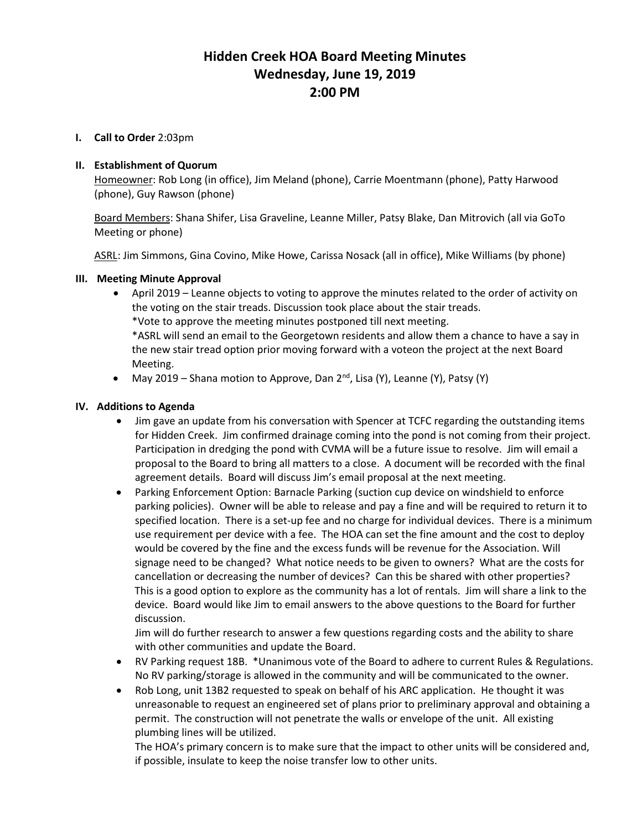# **Hidden Creek HOA Board Meeting Minutes Wednesday, June 19, 2019 2:00 PM**

#### **I. Call to Order** 2:03pm

#### **II. Establishment of Quorum**

Homeowner: Rob Long (in office), Jim Meland (phone), Carrie Moentmann (phone), Patty Harwood (phone), Guy Rawson (phone)

Board Members: Shana Shifer, Lisa Graveline, Leanne Miller, Patsy Blake, Dan Mitrovich (all via GoTo Meeting or phone)

ASRL: Jim Simmons, Gina Covino, Mike Howe, Carissa Nosack (all in office), Mike Williams (by phone)

#### **III. Meeting Minute Approval**

- April 2019 Leanne objects to voting to approve the minutes related to the order of activity on the voting on the stair treads. Discussion took place about the stair treads. \*Vote to approve the meeting minutes postponed till next meeting. \*ASRL will send an email to the Georgetown residents and allow them a chance to have a say in the new stair tread option prior moving forward with a voteon the project at the next Board Meeting.
- May 2019 Shana motion to Approve, Dan  $2^{nd}$ , Lisa (Y), Leanne (Y), Patsy (Y)

#### **IV. Additions to Agenda**

- Jim gave an update from his conversation with Spencer at TCFC regarding the outstanding items for Hidden Creek. Jim confirmed drainage coming into the pond is not coming from their project. Participation in dredging the pond with CVMA will be a future issue to resolve. Jim will email a proposal to the Board to bring all matters to a close. A document will be recorded with the final agreement details. Board will discuss Jim's email proposal at the next meeting.
- Parking Enforcement Option: Barnacle Parking (suction cup device on windshield to enforce parking policies). Owner will be able to release and pay a fine and will be required to return it to specified location. There is a set-up fee and no charge for individual devices. There is a minimum use requirement per device with a fee. The HOA can set the fine amount and the cost to deploy would be covered by the fine and the excess funds will be revenue for the Association. Will signage need to be changed? What notice needs to be given to owners? What are the costs for cancellation or decreasing the number of devices? Can this be shared with other properties? This is a good option to explore as the community has a lot of rentals. Jim will share a link to the device. Board would like Jim to email answers to the above questions to the Board for further discussion.

Jim will do further research to answer a few questions regarding costs and the ability to share with other communities and update the Board.

- RV Parking request 18B. \*Unanimous vote of the Board to adhere to current Rules & Regulations. No RV parking/storage is allowed in the community and will be communicated to the owner.
- Rob Long, unit 13B2 requested to speak on behalf of his ARC application. He thought it was unreasonable to request an engineered set of plans prior to preliminary approval and obtaining a permit. The construction will not penetrate the walls or envelope of the unit. All existing plumbing lines will be utilized.

The HOA's primary concern is to make sure that the impact to other units will be considered and, if possible, insulate to keep the noise transfer low to other units.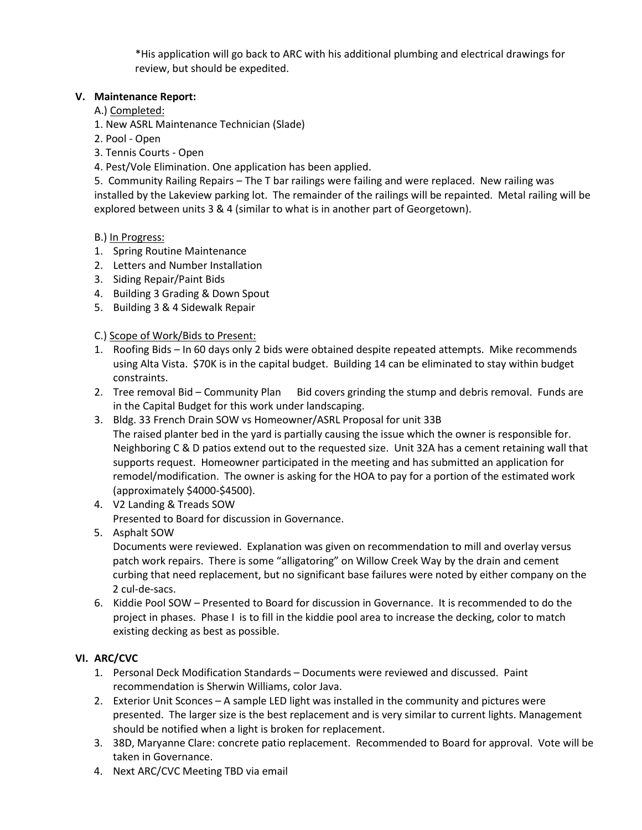\*His application will go back to ARC with his additional plumbing and electrical drawings for review, but should be expedited.

# **V. Maintenance Report:**

- A.) Completed:
- 1. New ASRL Maintenance Technician (Slade)
- 2. Pool Open
- 3. Tennis Courts Open
- 4. Pest/Vole Elimination. One application has been applied.

5. Community Railing Repairs – The T bar railings were failing and were replaced. New railing was installed by the Lakeview parking lot. The remainder of the railings will be repainted. Metal railing will be explored between units 3 & 4 (similar to what is in another part of Georgetown).

#### B.) In Progress:

- 1. Spring Routine Maintenance
- 2. Letters and Number Installation
- 3. Siding Repair/Paint Bids
- 4. Building 3 Grading & Down Spout
- 5. Building 3 & 4 Sidewalk Repair

# C.) Scope of Work/Bids to Present:

- 1. Roofing Bids In 60 days only 2 bids were obtained despite repeated attempts. Mike recommends using Alta Vista. \$70K is in the capital budget. Building 14 can be eliminated to stay within budget constraints.
- 2. Tree removal Bid Community Plan Bid covers grinding the stump and debris removal. Funds are in the Capital Budget for this work under landscaping.
- 3. Bldg. 33 French Drain SOW vs Homeowner/ASRL Proposal for unit 33B The raised planter bed in the yard is partially causing the issue which the owner is responsible for. Neighboring C & D patios extend out to the requested size. Unit 32A has a cement retaining wall that supports request. Homeowner participated in the meeting and has submitted an application for
	- remodel/modification. The owner is asking for the HOA to pay for a portion of the estimated work (approximately \$4000-\$4500).
- 4. V2 Landing & Treads SOW

Presented to Board for discussion in Governance.

5. Asphalt SOW

Documents were reviewed. Explanation was given on recommendation to mill and overlay versus patch work repairs. There is some "alligatoring" on Willow Creek Way by the drain and cement curbing that need replacement, but no significant base failures were noted by either company on the 2 cul-de-sacs.

6. Kiddie Pool SOW – Presented to Board for discussion in Governance. It is recommended to do the project in phases. Phase I is to fill in the kiddie pool area to increase the decking, color to match existing decking as best as possible.

# **VI. ARC/CVC**

- 1. Personal Deck Modification Standards Documents were reviewed and discussed. Paint recommendation is Sherwin Williams, color Java.
- 2. Exterior Unit Sconces A sample LED light was installed in the community and pictures were presented. The larger size is the best replacement and is very similar to current lights. Management should be notified when a light is broken for replacement.
- 3. 38D, Maryanne Clare: concrete patio replacement. Recommended to Board for approval. Vote will be taken in Governance.
- 4. Next ARC/CVC Meeting TBD via email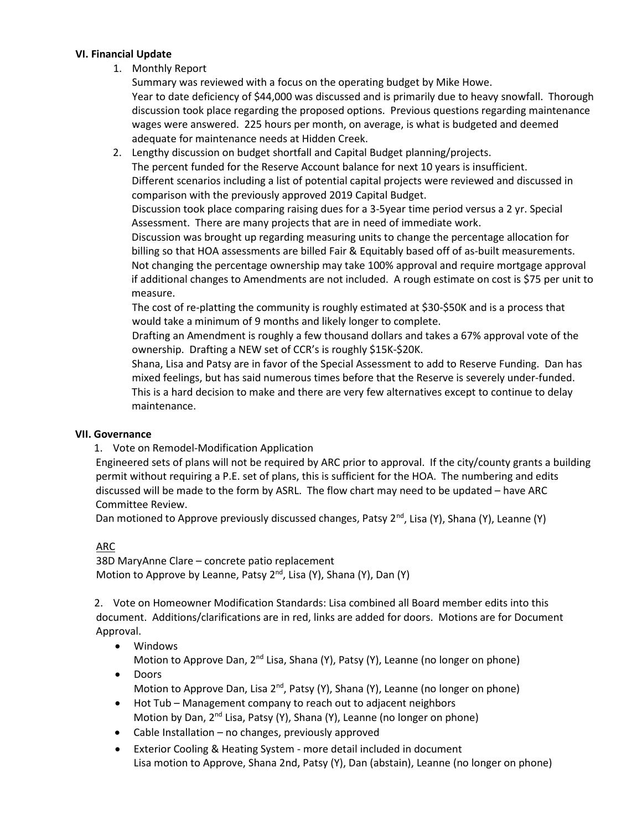#### **VI. Financial Update**

1. Monthly Report

Summary was reviewed with a focus on the operating budget by Mike Howe. Year to date deficiency of \$44,000 was discussed and is primarily due to heavy snowfall. Thorough discussion took place regarding the proposed options. Previous questions regarding maintenance wages were answered. 225 hours per month, on average, is what is budgeted and deemed adequate for maintenance needs at Hidden Creek.

2. Lengthy discussion on budget shortfall and Capital Budget planning/projects.

The percent funded for the Reserve Account balance for next 10 years is insufficient. Different scenarios including a list of potential capital projects were reviewed and discussed in comparison with the previously approved 2019 Capital Budget.

Discussion took place comparing raising dues for a 3-5year time period versus a 2 yr. Special Assessment. There are many projects that are in need of immediate work.

Discussion was brought up regarding measuring units to change the percentage allocation for billing so that HOA assessments are billed Fair & Equitably based off of as-built measurements. Not changing the percentage ownership may take 100% approval and require mortgage approval if additional changes to Amendments are not included. A rough estimate on cost is \$75 per unit to measure.

The cost of re-platting the community is roughly estimated at \$30-\$50K and is a process that would take a minimum of 9 months and likely longer to complete.

Drafting an Amendment is roughly a few thousand dollars and takes a 67% approval vote of the ownership. Drafting a NEW set of CCR's is roughly \$15K-\$20K.

Shana, Lisa and Patsy are in favor of the Special Assessment to add to Reserve Funding. Dan has mixed feelings, but has said numerous times before that the Reserve is severely under-funded. This is a hard decision to make and there are very few alternatives except to continue to delay maintenance.

# **VII. Governance**

# 1. Vote on Remodel-Modification Application

Engineered sets of plans will not be required by ARC prior to approval. If the city/county grants a building permit without requiring a P.E. set of plans, this is sufficient for the HOA. The numbering and edits discussed will be made to the form by ASRL. The flow chart may need to be updated – have ARC Committee Review.

Dan motioned to Approve previously discussed changes, Patsy 2<sup>nd</sup>, Lisa (Y), Shana (Y), Leanne (Y)

# ARC

38D MaryAnne Clare – concrete patio replacement Motion to Approve by Leanne, Patsy 2<sup>nd</sup>, Lisa (Y), Shana (Y), Dan (Y)

2. Vote on Homeowner Modification Standards: Lisa combined all Board member edits into this document. Additions/clarifications are in red, links are added for doors. Motions are for Document Approval.

- Windows Motion to Approve Dan,  $2^{nd}$  Lisa, Shana (Y), Patsy (Y), Leanne (no longer on phone)
- Doors Motion to Approve Dan, Lisa  $2^{nd}$ , Patsy (Y), Shana (Y), Leanne (no longer on phone)
- Hot Tub Management company to reach out to adjacent neighbors Motion by Dan, 2<sup>nd</sup> Lisa, Patsy (Y), Shana (Y), Leanne (no longer on phone)
- Cable Installation no changes, previously approved
- Exterior Cooling & Heating System more detail included in document Lisa motion to Approve, Shana 2nd, Patsy (Y), Dan (abstain), Leanne (no longer on phone)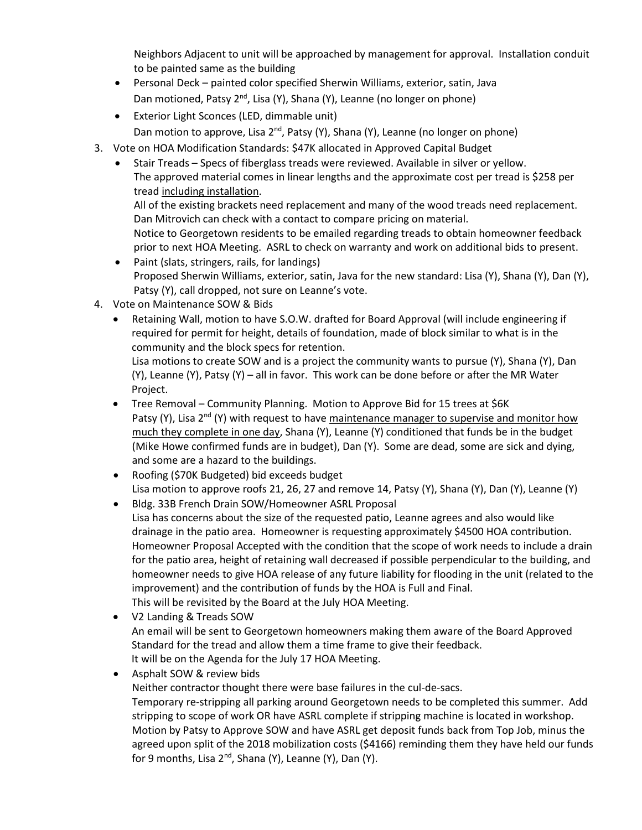Neighbors Adjacent to unit will be approached by management for approval. Installation conduit to be painted same as the building

- Personal Deck painted color specified Sherwin Williams, exterior, satin, Java Dan motioned, Patsy 2<sup>nd</sup>, Lisa (Y), Shana (Y), Leanne (no longer on phone)
- Exterior Light Sconces (LED, dimmable unit) Dan motion to approve, Lisa 2<sup>nd</sup>, Patsy (Y), Shana (Y), Leanne (no longer on phone)
- 3. Vote on HOA Modification Standards: \$47K allocated in Approved Capital Budget
	- Stair Treads Specs of fiberglass treads were reviewed. Available in silver or yellow. The approved material comes in linear lengths and the approximate cost per tread is \$258 per tread including installation.

All of the existing brackets need replacement and many of the wood treads need replacement. Dan Mitrovich can check with a contact to compare pricing on material.

Notice to Georgetown residents to be emailed regarding treads to obtain homeowner feedback prior to next HOA Meeting. ASRL to check on warranty and work on additional bids to present.

- Paint (slats, stringers, rails, for landings) Proposed Sherwin Williams, exterior, satin, Java for the new standard: Lisa (Y), Shana (Y), Dan (Y), Patsy (Y), call dropped, not sure on Leanne's vote.
- 4. Vote on Maintenance SOW & Bids
	- Retaining Wall, motion to have S.O.W. drafted for Board Approval (will include engineering if required for permit for height, details of foundation, made of block similar to what is in the community and the block specs for retention.

Lisa motions to create SOW and is a project the community wants to pursue (Y), Shana (Y), Dan (Y), Leanne (Y), Patsy (Y) – all in favor. This work can be done before or after the MR Water Project.

- Tree Removal Community Planning. Motion to Approve Bid for 15 trees at \$6K Patsy (Y), Lisa 2<sup>nd</sup> (Y) with request to have maintenance manager to supervise and monitor how much they complete in one day, Shana (Y), Leanne (Y) conditioned that funds be in the budget (Mike Howe confirmed funds are in budget), Dan (Y). Some are dead, some are sick and dying, and some are a hazard to the buildings.
- Roofing (\$70K Budgeted) bid exceeds budget Lisa motion to approve roofs 21, 26, 27 and remove 14, Patsy (Y), Shana (Y), Dan (Y), Leanne (Y)
- Bldg. 33B French Drain SOW/Homeowner ASRL Proposal Lisa has concerns about the size of the requested patio, Leanne agrees and also would like drainage in the patio area. Homeowner is requesting approximately \$4500 HOA contribution. Homeowner Proposal Accepted with the condition that the scope of work needs to include a drain for the patio area, height of retaining wall decreased if possible perpendicular to the building, and homeowner needs to give HOA release of any future liability for flooding in the unit (related to the improvement) and the contribution of funds by the HOA is Full and Final. This will be revisited by the Board at the July HOA Meeting.
- V2 Landing & Treads SOW An email will be sent to Georgetown homeowners making them aware of the Board Approved Standard for the tread and allow them a time frame to give their feedback. It will be on the Agenda for the July 17 HOA Meeting.
- Asphalt SOW & review bids

Neither contractor thought there were base failures in the cul-de-sacs.

Temporary re-stripping all parking around Georgetown needs to be completed this summer. Add stripping to scope of work OR have ASRL complete if stripping machine is located in workshop. Motion by Patsy to Approve SOW and have ASRL get deposit funds back from Top Job, minus the agreed upon split of the 2018 mobilization costs (\$4166) reminding them they have held our funds for 9 months, Lisa 2<sup>nd</sup>, Shana (Y), Leanne (Y), Dan (Y).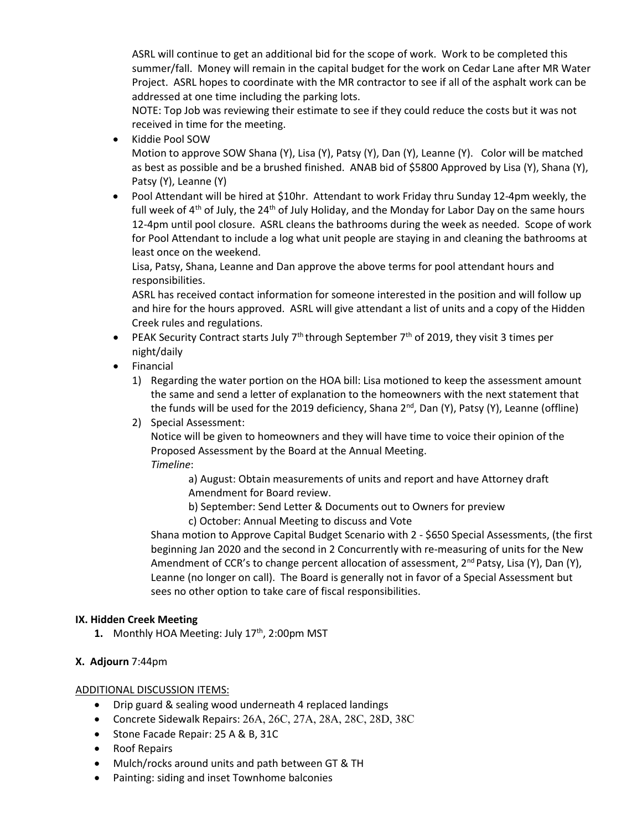ASRL will continue to get an additional bid for the scope of work. Work to be completed this summer/fall. Money will remain in the capital budget for the work on Cedar Lane after MR Water Project. ASRL hopes to coordinate with the MR contractor to see if all of the asphalt work can be addressed at one time including the parking lots.

NOTE: Top Job was reviewing their estimate to see if they could reduce the costs but it was not received in time for the meeting.

• Kiddie Pool SOW

Motion to approve SOW Shana (Y), Lisa (Y), Patsy (Y), Dan (Y), Leanne (Y). Color will be matched as best as possible and be a brushed finished. ANAB bid of \$5800 Approved by Lisa (Y), Shana (Y), Patsy (Y), Leanne (Y)

• Pool Attendant will be hired at \$10hr. Attendant to work Friday thru Sunday 12-4pm weekly, the full week of  $4<sup>th</sup>$  of July, the 24<sup>th</sup> of July Holiday, and the Monday for Labor Day on the same hours 12-4pm until pool closure. ASRL cleans the bathrooms during the week as needed. Scope of work for Pool Attendant to include a log what unit people are staying in and cleaning the bathrooms at least once on the weekend.

Lisa, Patsy, Shana, Leanne and Dan approve the above terms for pool attendant hours and responsibilities.

ASRL has received contact information for someone interested in the position and will follow up and hire for the hours approved. ASRL will give attendant a list of units and a copy of the Hidden Creek rules and regulations.

- PEAK Security Contract starts July  $7<sup>th</sup>$  through September  $7<sup>th</sup>$  of 2019, they visit 3 times per night/daily
- Financial
	- 1) Regarding the water portion on the HOA bill: Lisa motioned to keep the assessment amount the same and send a letter of explanation to the homeowners with the next statement that the funds will be used for the 2019 deficiency, Shana  $2^{nd}$ , Dan (Y), Patsy (Y), Leanne (offline)
	- 2) Special Assessment:

Notice will be given to homeowners and they will have time to voice their opinion of the Proposed Assessment by the Board at the Annual Meeting. *Timeline*:

a) August: Obtain measurements of units and report and have Attorney draft Amendment for Board review.

- b) September: Send Letter & Documents out to Owners for preview
- c) October: Annual Meeting to discuss and Vote

Shana motion to Approve Capital Budget Scenario with 2 - \$650 Special Assessments, (the first beginning Jan 2020 and the second in 2 Concurrently with re-measuring of units for the New Amendment of CCR's to change percent allocation of assessment,  $2^{nd}$  Patsy, Lisa (Y), Dan (Y), Leanne (no longer on call). The Board is generally not in favor of a Special Assessment but sees no other option to take care of fiscal responsibilities.

# **IX. Hidden Creek Meeting**

**1.** Monthly HOA Meeting: July 17<sup>th</sup>, 2:00pm MST

# **X. Adjourn** 7:44pm

#### ADDITIONAL DISCUSSION ITEMS:

- Drip guard & sealing wood underneath 4 replaced landings
- Concrete Sidewalk Repairs: 26A, 26C, 27A, 28A, 28C, 28D, 38C
- Stone Facade Repair: 25 A & B, 31C
- Roof Repairs
- Mulch/rocks around units and path between GT & TH
- Painting: siding and inset Townhome balconies